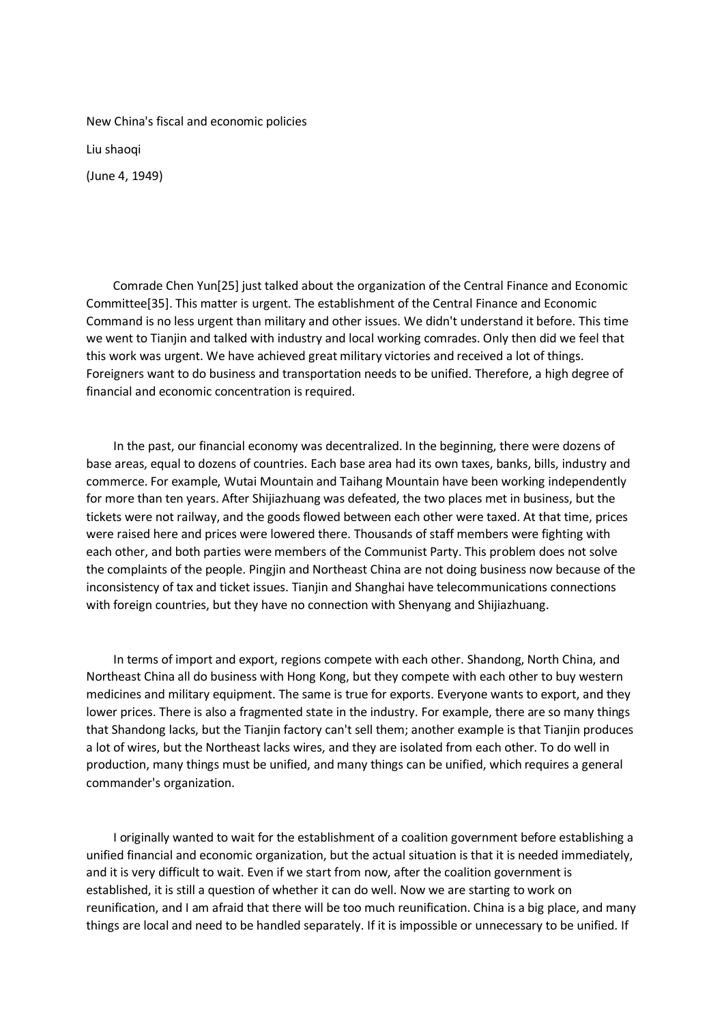New China's fiscal and economic policies

Liu shaoqi

(June 4, 1949)

 Comrade Chen Yun[25] just talked about the organization of the Central Finance and Economic Committee[35]. This matter is urgent. The establishment of the Central Finance and Economic Command is no less urgent than military and other issues. We didn't understand it before. This time we went to Tianjin and talked with industry and local working comrades. Only then did we feel that this work was urgent. We have achieved great military victories and received a lot of things. Foreigners want to do business and transportation needs to be unified. Therefore, a high degree of financial and economic concentration is required.

 In the past, our financial economy was decentralized. In the beginning, there were dozens of base areas, equal to dozens of countries. Each base area had its own taxes, banks, bills, industry and commerce. For example, Wutai Mountain and Taihang Mountain have been working independently for more than ten years. After Shijiazhuang was defeated, the two places met in business, but the tickets were not railway, and the goods flowed between each other were taxed. At that time, prices were raised here and prices were lowered there. Thousands of staff members were fighting with each other, and both parties were members of the Communist Party. This problem does not solve the complaints of the people. Pingjin and Northeast China are not doing business now because of the inconsistency of tax and ticket issues. Tianjin and Shanghai have telecommunications connections with foreign countries, but they have no connection with Shenyang and Shijiazhuang.

 In terms of import and export, regions compete with each other. Shandong, North China, and Northeast China all do business with Hong Kong, but they compete with each other to buy western medicines and military equipment. The same is true for exports. Everyone wants to export, and they lower prices. There is also a fragmented state in the industry. For example, there are so many things that Shandong lacks, but the Tianjin factory can't sell them; another example is that Tianjin produces a lot of wires, but the Northeast lacks wires, and they are isolated from each other. To do well in production, many things must be unified, and many things can be unified, which requires a general commander's organization.

 I originally wanted to wait for the establishment of a coalition government before establishing a unified financial and economic organization, but the actual situation is that it is needed immediately, and it is very difficult to wait. Even if we start from now, after the coalition government is established, it is still a question of whether it can do well. Now we are starting to work on reunification, and I am afraid that there will be too much reunification. China is a big place, and many things are local and need to be handled separately. If it is impossible or unnecessary to be unified. If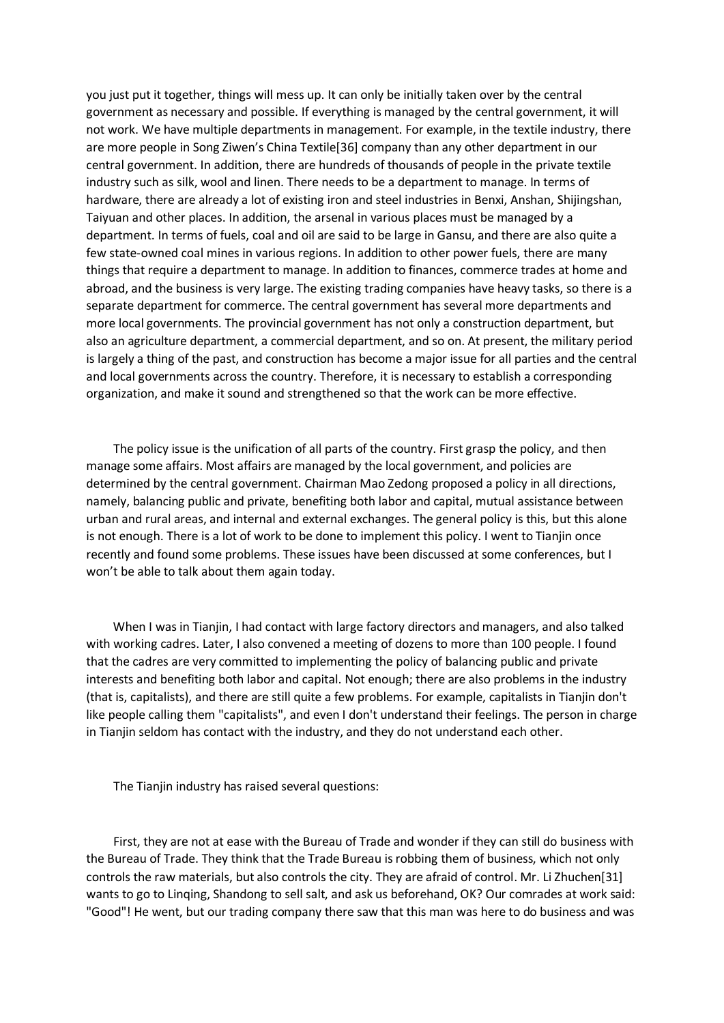you just put it together, things will mess up. It can only be initially taken over by the central government as necessary and possible. If everything is managed by the central government, it will not work. We have multiple departments in management. For example, in the textile industry, there are more people in Song Ziwen's China Textile[36] company than any other department in our central government. In addition, there are hundreds of thousands of people in the private textile industry such as silk, wool and linen. There needs to be a department to manage. In terms of hardware, there are already a lot of existing iron and steel industries in Benxi, Anshan, Shijingshan, Taiyuan and other places. In addition, the arsenal in various places must be managed by a department. In terms of fuels, coal and oil are said to be large in Gansu, and there are also quite a few state-owned coal mines in various regions. In addition to other power fuels, there are many things that require a department to manage. In addition to finances, commerce trades at home and abroad, and the business is very large. The existing trading companies have heavy tasks, so there is a separate department for commerce. The central government has several more departments and more local governments. The provincial government has not only a construction department, but also an agriculture department, a commercial department, and so on. At present, the military period is largely a thing of the past, and construction has become a major issue for all parties and the central and local governments across the country. Therefore, it is necessary to establish a corresponding organization, and make it sound and strengthened so that the work can be more effective.

 The policy issue is the unification of all parts of the country. First grasp the policy, and then manage some affairs. Most affairs are managed by the local government, and policies are determined by the central government. Chairman Mao Zedong proposed a policy in all directions, namely, balancing public and private, benefiting both labor and capital, mutual assistance between urban and rural areas, and internal and external exchanges. The general policy is this, but this alone is not enough. There is a lot of work to be done to implement this policy. I went to Tianjin once recently and found some problems. These issues have been discussed at some conferences, but I won't be able to talk about them again today.

 When I was in Tianjin, I had contact with large factory directors and managers, and also talked with working cadres. Later, I also convened a meeting of dozens to more than 100 people. I found that the cadres are very committed to implementing the policy of balancing public and private interests and benefiting both labor and capital. Not enough; there are also problems in the industry (that is, capitalists), and there are still quite a few problems. For example, capitalists in Tianjin don't like people calling them "capitalists", and even I don't understand their feelings. The person in charge in Tianjin seldom has contact with the industry, and they do not understand each other.

The Tianjin industry has raised several questions:

 First, they are not at ease with the Bureau of Trade and wonder if they can still do business with the Bureau of Trade. They think that the Trade Bureau is robbing them of business, which not only controls the raw materials, but also controls the city. They are afraid of control. Mr. Li Zhuchen[31] wants to go to Linqing, Shandong to sell salt, and ask us beforehand, OK? Our comrades at work said: "Good"! He went, but our trading company there saw that this man was here to do business and was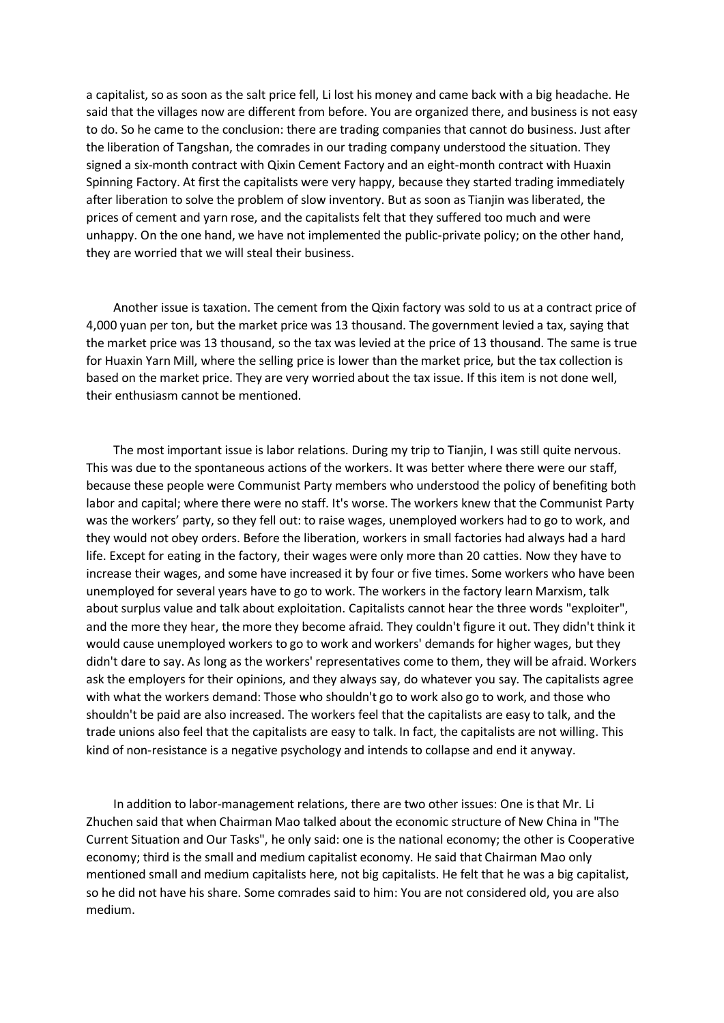a capitalist, so as soon as the salt price fell, Li lost his money and came back with a big headache. He said that the villages now are different from before. You are organized there, and business is not easy to do. So he came to the conclusion: there are trading companies that cannot do business. Just after the liberation of Tangshan, the comrades in our trading company understood the situation. They signed a six-month contract with Qixin Cement Factory and an eight-month contract with Huaxin Spinning Factory. At first the capitalists were very happy, because they started trading immediately after liberation to solve the problem of slow inventory. But as soon as Tianjin was liberated, the prices of cement and yarn rose, and the capitalists felt that they suffered too much and were unhappy. On the one hand, we have not implemented the public-private policy; on the other hand, they are worried that we will steal their business.

 Another issue is taxation. The cement from the Qixin factory was sold to us at a contract price of 4,000 yuan per ton, but the market price was 13 thousand. The government levied a tax, saying that the market price was 13 thousand, so the tax was levied at the price of 13 thousand. The same is true for Huaxin Yarn Mill, where the selling price is lower than the market price, but the tax collection is based on the market price. They are very worried about the tax issue. If this item is not done well, their enthusiasm cannot be mentioned.

 The most important issue is labor relations. During my trip to Tianjin, I was still quite nervous. This was due to the spontaneous actions of the workers. It was better where there were our staff, because these people were Communist Party members who understood the policy of benefiting both labor and capital; where there were no staff. It's worse. The workers knew that the Communist Party was the workers' party, so they fell out: to raise wages, unemployed workers had to go to work, and they would not obey orders. Before the liberation, workers in small factories had always had a hard life. Except for eating in the factory, their wages were only more than 20 catties. Now they have to increase their wages, and some have increased it by four or five times. Some workers who have been unemployed for several years have to go to work. The workers in the factory learn Marxism, talk about surplus value and talk about exploitation. Capitalists cannot hear the three words "exploiter", and the more they hear, the more they become afraid. They couldn't figure it out. They didn't think it would cause unemployed workers to go to work and workers' demands for higher wages, but they didn't dare to say. As long as the workers' representatives come to them, they will be afraid. Workers ask the employers for their opinions, and they always say, do whatever you say. The capitalists agree with what the workers demand: Those who shouldn't go to work also go to work, and those who shouldn't be paid are also increased. The workers feel that the capitalists are easy to talk, and the trade unions also feel that the capitalists are easy to talk. In fact, the capitalists are not willing. This kind of non-resistance is a negative psychology and intends to collapse and end it anyway.

 In addition to labor-management relations, there are two other issues: One is that Mr. Li Zhuchen said that when Chairman Mao talked about the economic structure of New China in "The Current Situation and Our Tasks", he only said: one is the national economy; the other is Cooperative economy; third is the small and medium capitalist economy. He said that Chairman Mao only mentioned small and medium capitalists here, not big capitalists. He felt that he was a big capitalist, so he did not have his share. Some comrades said to him: You are not considered old, you are also medium.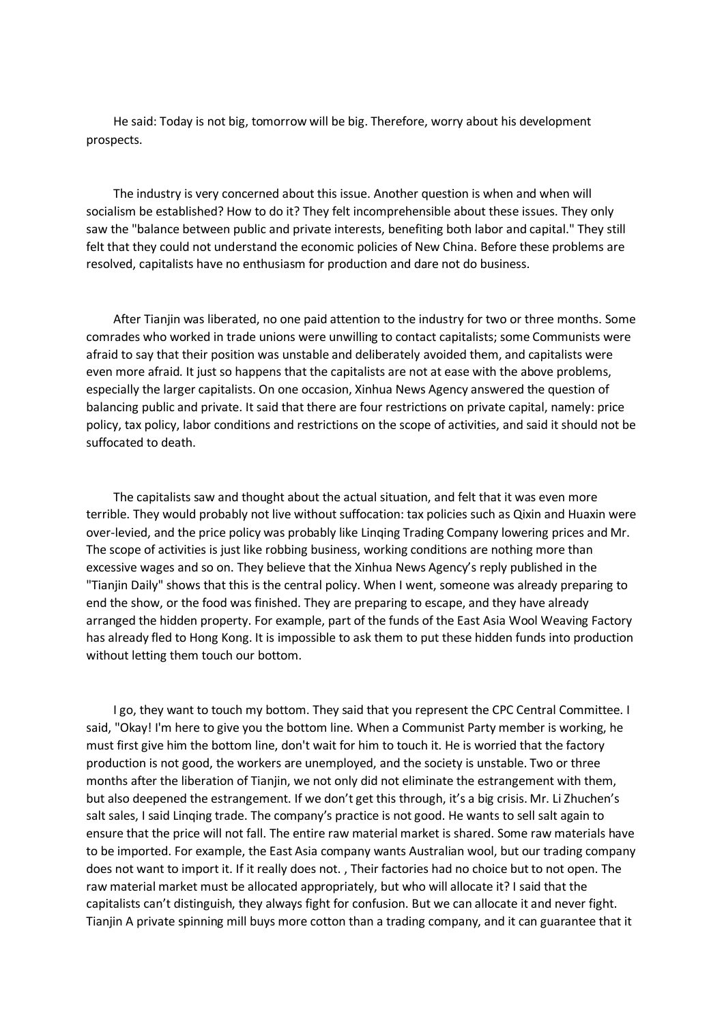He said: Today is not big, tomorrow will be big. Therefore, worry about his development prospects.

 The industry is very concerned about this issue. Another question is when and when will socialism be established? How to do it? They felt incomprehensible about these issues. They only saw the "balance between public and private interests, benefiting both labor and capital." They still felt that they could not understand the economic policies of New China. Before these problems are resolved, capitalists have no enthusiasm for production and dare not do business.

 After Tianjin was liberated, no one paid attention to the industry for two or three months. Some comrades who worked in trade unions were unwilling to contact capitalists; some Communists were afraid to say that their position was unstable and deliberately avoided them, and capitalists were even more afraid. It just so happens that the capitalists are not at ease with the above problems, especially the larger capitalists. On one occasion, Xinhua News Agency answered the question of balancing public and private. It said that there are four restrictions on private capital, namely: price policy, tax policy, labor conditions and restrictions on the scope of activities, and said it should not be suffocated to death.

 The capitalists saw and thought about the actual situation, and felt that it was even more terrible. They would probably not live without suffocation: tax policies such as Qixin and Huaxin were over-levied, and the price policy was probably like Linqing Trading Company lowering prices and Mr. The scope of activities is just like robbing business, working conditions are nothing more than excessive wages and so on. They believe that the Xinhua News Agency's reply published in the "Tianjin Daily" shows that this is the central policy. When I went, someone was already preparing to end the show, or the food was finished. They are preparing to escape, and they have already arranged the hidden property. For example, part of the funds of the East Asia Wool Weaving Factory has already fled to Hong Kong. It is impossible to ask them to put these hidden funds into production without letting them touch our bottom.

I go, they want to touch my bottom. They said that you represent the CPC Central Committee. I said, "Okay! I'm here to give you the bottom line. When a Communist Party member is working, he must first give him the bottom line, don't wait for him to touch it. He is worried that the factory production is not good, the workers are unemployed, and the society is unstable. Two or three months after the liberation of Tianjin, we not only did not eliminate the estrangement with them, but also deepened the estrangement. If we don't get this through, it's a big crisis. Mr. Li Zhuchen's salt sales, I said Linqing trade. The company's practice is not good. He wants to sell salt again to ensure that the price will not fall. The entire raw material market is shared. Some raw materials have to be imported. For example, the East Asia company wants Australian wool, but our trading company does not want to import it. If it really does not. , Their factories had no choice but to not open. The raw material market must be allocated appropriately, but who will allocate it? I said that the capitalists can't distinguish, they always fight for confusion. But we can allocate it and never fight. Tianjin A private spinning mill buys more cotton than a trading company, and it can guarantee that it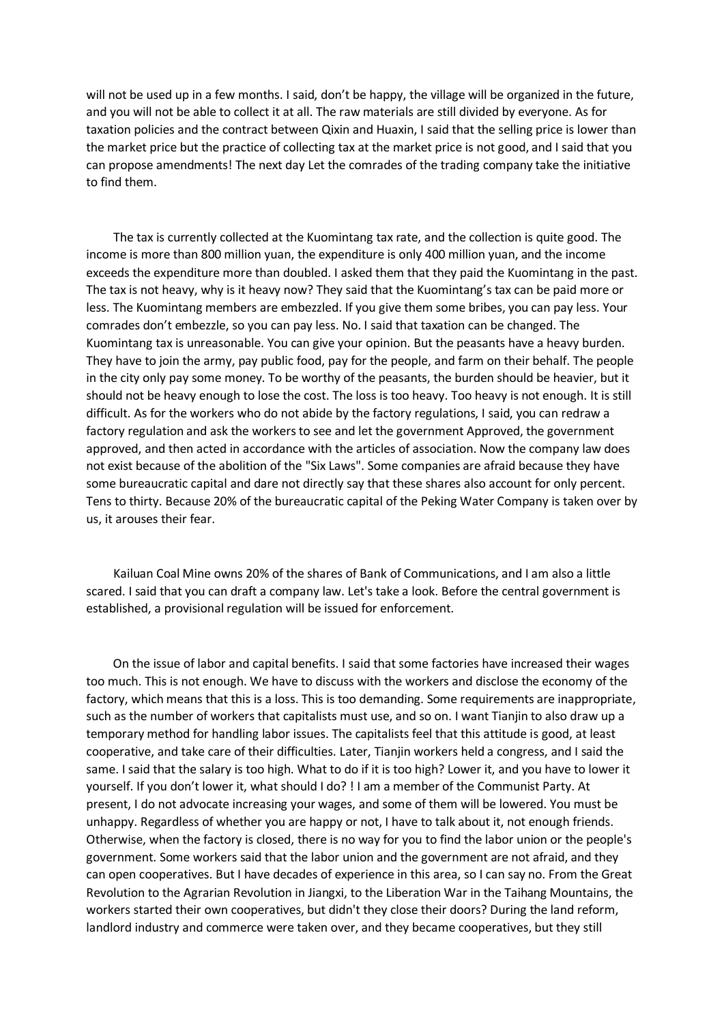will not be used up in a few months. I said, don't be happy, the village will be organized in the future, and you will not be able to collect it at all. The raw materials are still divided by everyone. As for taxation policies and the contract between Qixin and Huaxin, I said that the selling price is lower than the market price but the practice of collecting tax at the market price is not good, and I said that you can propose amendments! The next day Let the comrades of the trading company take the initiative to find them.

 The tax is currently collected at the Kuomintang tax rate, and the collection is quite good. The income is more than 800 million yuan, the expenditure is only 400 million yuan, and the income exceeds the expenditure more than doubled. I asked them that they paid the Kuomintang in the past. The tax is not heavy, why is it heavy now? They said that the Kuomintang's tax can be paid more or less. The Kuomintang members are embezzled. If you give them some bribes, you can pay less. Your comrades don't embezzle, so you can pay less. No. I said that taxation can be changed. The Kuomintang tax is unreasonable. You can give your opinion. But the peasants have a heavy burden. They have to join the army, pay public food, pay for the people, and farm on their behalf. The people in the city only pay some money. To be worthy of the peasants, the burden should be heavier, but it should not be heavy enough to lose the cost. The loss is too heavy. Too heavy is not enough. It is still difficult. As for the workers who do not abide by the factory regulations, I said, you can redraw a factory regulation and ask the workers to see and let the government Approved, the government approved, and then acted in accordance with the articles of association. Now the company law does not exist because of the abolition of the "Six Laws". Some companies are afraid because they have some bureaucratic capital and dare not directly say that these shares also account for only percent. Tens to thirty. Because 20% of the bureaucratic capital of the Peking Water Company is taken over by us, it arouses their fear.

 Kailuan Coal Mine owns 20% of the shares of Bank of Communications, and I am also a little scared. I said that you can draft a company law. Let's take a look. Before the central government is established, a provisional regulation will be issued for enforcement.

 On the issue of labor and capital benefits. I said that some factories have increased their wages too much. This is not enough. We have to discuss with the workers and disclose the economy of the factory, which means that this is a loss. This is too demanding. Some requirements are inappropriate, such as the number of workers that capitalists must use, and so on. I want Tianjin to also draw up a temporary method for handling labor issues. The capitalists feel that this attitude is good, at least cooperative, and take care of their difficulties. Later, Tianjin workers held a congress, and I said the same. I said that the salary is too high. What to do if it is too high? Lower it, and you have to lower it yourself. If you don't lower it, what should I do? ! I am a member of the Communist Party. At present, I do not advocate increasing your wages, and some of them will be lowered. You must be unhappy. Regardless of whether you are happy or not, I have to talk about it, not enough friends. Otherwise, when the factory is closed, there is no way for you to find the labor union or the people's government. Some workers said that the labor union and the government are not afraid, and they can open cooperatives. But I have decades of experience in this area, so I can say no. From the Great Revolution to the Agrarian Revolution in Jiangxi, to the Liberation War in the Taihang Mountains, the workers started their own cooperatives, but didn't they close their doors? During the land reform, landlord industry and commerce were taken over, and they became cooperatives, but they still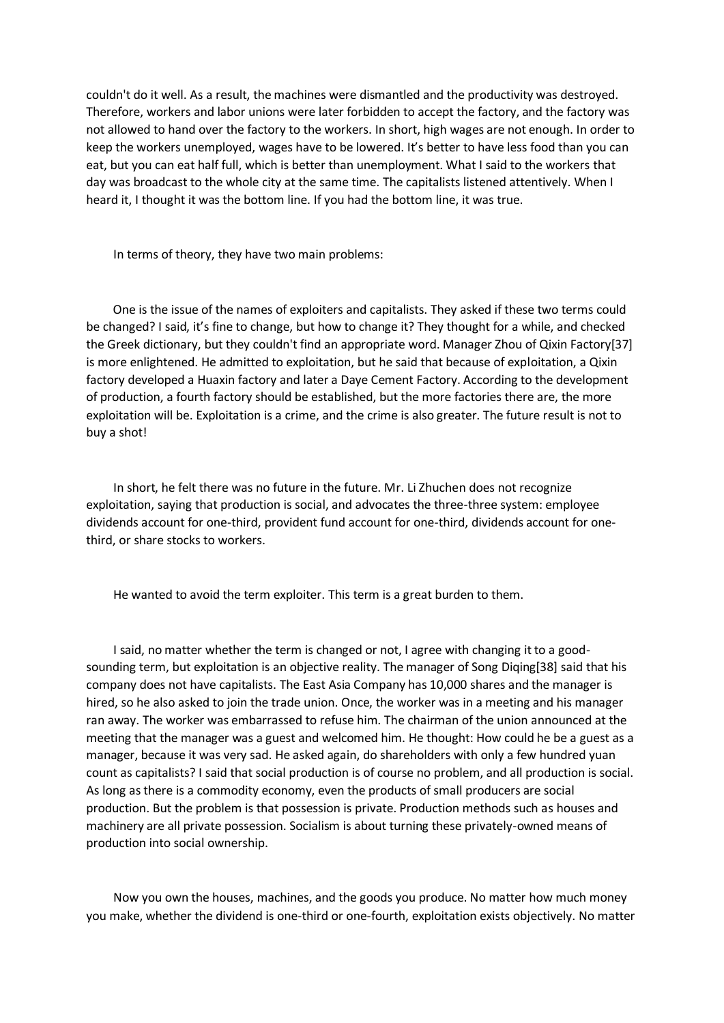couldn't do it well. As a result, the machines were dismantled and the productivity was destroyed. Therefore, workers and labor unions were later forbidden to accept the factory, and the factory was not allowed to hand over the factory to the workers. In short, high wages are not enough. In order to keep the workers unemployed, wages have to be lowered. It's better to have less food than you can eat, but you can eat half full, which is better than unemployment. What I said to the workers that day was broadcast to the whole city at the same time. The capitalists listened attentively. When I heard it, I thought it was the bottom line. If you had the bottom line, it was true.

In terms of theory, they have two main problems:

 One is the issue of the names of exploiters and capitalists. They asked if these two terms could be changed? I said, it's fine to change, but how to change it? They thought for a while, and checked the Greek dictionary, but they couldn't find an appropriate word. Manager Zhou of Qixin Factory[37] is more enlightened. He admitted to exploitation, but he said that because of exploitation, a Qixin factory developed a Huaxin factory and later a Daye Cement Factory. According to the development of production, a fourth factory should be established, but the more factories there are, the more exploitation will be. Exploitation is a crime, and the crime is also greater. The future result is not to buy a shot!

 In short, he felt there was no future in the future. Mr. Li Zhuchen does not recognize exploitation, saying that production is social, and advocates the three-three system: employee dividends account for one-third, provident fund account for one-third, dividends account for onethird, or share stocks to workers.

He wanted to avoid the term exploiter. This term is a great burden to them.

 I said, no matter whether the term is changed or not, I agree with changing it to a goodsounding term, but exploitation is an objective reality. The manager of Song Diqing[38] said that his company does not have capitalists. The East Asia Company has 10,000 shares and the manager is hired, so he also asked to join the trade union. Once, the worker was in a meeting and his manager ran away. The worker was embarrassed to refuse him. The chairman of the union announced at the meeting that the manager was a guest and welcomed him. He thought: How could he be a guest as a manager, because it was very sad. He asked again, do shareholders with only a few hundred yuan count as capitalists? I said that social production is of course no problem, and all production is social. As long as there is a commodity economy, even the products of small producers are social production. But the problem is that possession is private. Production methods such as houses and machinery are all private possession. Socialism is about turning these privately-owned means of production into social ownership.

 Now you own the houses, machines, and the goods you produce. No matter how much money you make, whether the dividend is one-third or one-fourth, exploitation exists objectively. No matter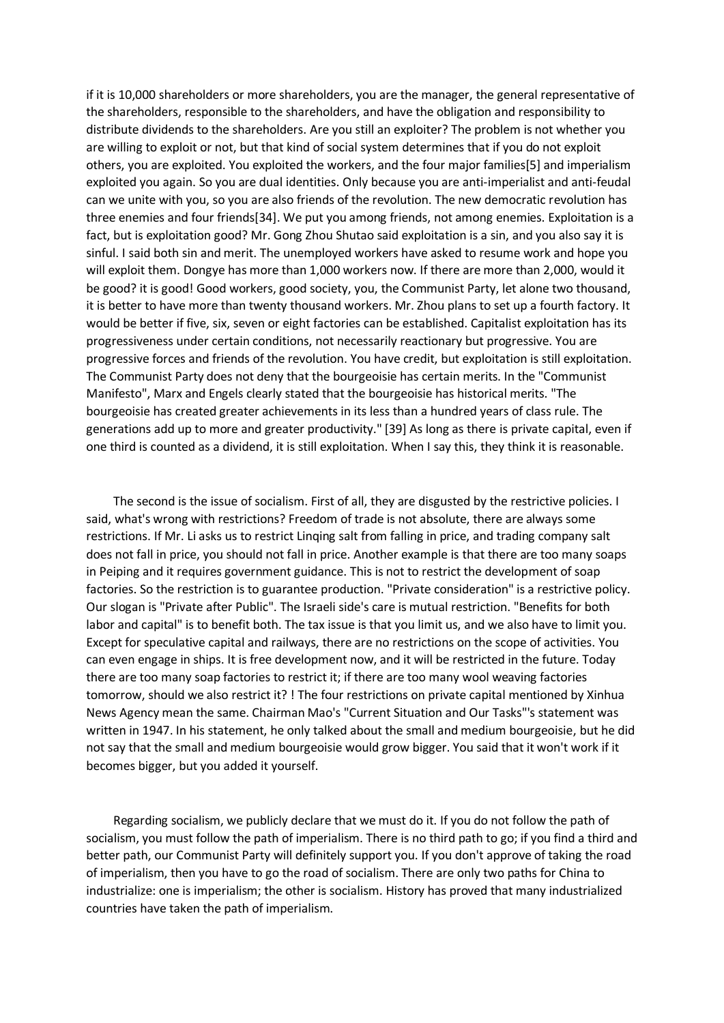if it is 10,000 shareholders or more shareholders, you are the manager, the general representative of the shareholders, responsible to the shareholders, and have the obligation and responsibility to distribute dividends to the shareholders. Are you still an exploiter? The problem is not whether you are willing to exploit or not, but that kind of social system determines that if you do not exploit others, you are exploited. You exploited the workers, and the four major families[5] and imperialism exploited you again. So you are dual identities. Only because you are anti-imperialist and anti-feudal can we unite with you, so you are also friends of the revolution. The new democratic revolution has three enemies and four friends[34]. We put you among friends, not among enemies. Exploitation is a fact, but is exploitation good? Mr. Gong Zhou Shutao said exploitation is a sin, and you also say it is sinful. I said both sin and merit. The unemployed workers have asked to resume work and hope you will exploit them. Dongye has more than 1,000 workers now. If there are more than 2,000, would it be good? it is good! Good workers, good society, you, the Communist Party, let alone two thousand, it is better to have more than twenty thousand workers. Mr. Zhou plans to set up a fourth factory. It would be better if five, six, seven or eight factories can be established. Capitalist exploitation has its progressiveness under certain conditions, not necessarily reactionary but progressive. You are progressive forces and friends of the revolution. You have credit, but exploitation is still exploitation. The Communist Party does not deny that the bourgeoisie has certain merits. In the "Communist Manifesto", Marx and Engels clearly stated that the bourgeoisie has historical merits. "The bourgeoisie has created greater achievements in its less than a hundred years of class rule. The generations add up to more and greater productivity." [39] As long as there is private capital, even if one third is counted as a dividend, it is still exploitation. When I say this, they think it is reasonable.

 The second is the issue of socialism. First of all, they are disgusted by the restrictive policies. I said, what's wrong with restrictions? Freedom of trade is not absolute, there are always some restrictions. If Mr. Li asks us to restrict Linqing salt from falling in price, and trading company salt does not fall in price, you should not fall in price. Another example is that there are too many soaps in Peiping and it requires government guidance. This is not to restrict the development of soap factories. So the restriction is to guarantee production. "Private consideration" is a restrictive policy. Our slogan is "Private after Public". The Israeli side's care is mutual restriction. "Benefits for both labor and capital" is to benefit both. The tax issue is that you limit us, and we also have to limit you. Except for speculative capital and railways, there are no restrictions on the scope of activities. You can even engage in ships. It is free development now, and it will be restricted in the future. Today there are too many soap factories to restrict it; if there are too many wool weaving factories tomorrow, should we also restrict it? ! The four restrictions on private capital mentioned by Xinhua News Agency mean the same. Chairman Mao's "Current Situation and Our Tasks"'s statement was written in 1947. In his statement, he only talked about the small and medium bourgeoisie, but he did not say that the small and medium bourgeoisie would grow bigger. You said that it won't work if it becomes bigger, but you added it yourself.

 Regarding socialism, we publicly declare that we must do it. If you do not follow the path of socialism, you must follow the path of imperialism. There is no third path to go; if you find a third and better path, our Communist Party will definitely support you. If you don't approve of taking the road of imperialism, then you have to go the road of socialism. There are only two paths for China to industrialize: one is imperialism; the other is socialism. History has proved that many industrialized countries have taken the path of imperialism.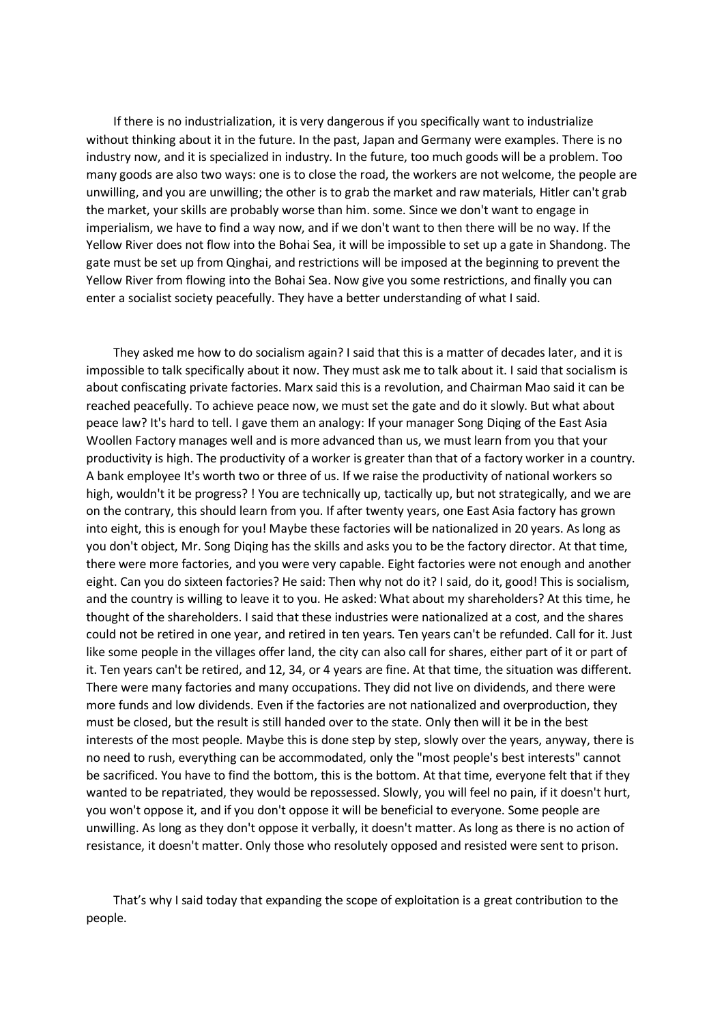If there is no industrialization, it is very dangerous if you specifically want to industrialize without thinking about it in the future. In the past, Japan and Germany were examples. There is no industry now, and it is specialized in industry. In the future, too much goods will be a problem. Too many goods are also two ways: one is to close the road, the workers are not welcome, the people are unwilling, and you are unwilling; the other is to grab the market and raw materials, Hitler can't grab the market, your skills are probably worse than him. some. Since we don't want to engage in imperialism, we have to find a way now, and if we don't want to then there will be no way. If the Yellow River does not flow into the Bohai Sea, it will be impossible to set up a gate in Shandong. The gate must be set up from Qinghai, and restrictions will be imposed at the beginning to prevent the Yellow River from flowing into the Bohai Sea. Now give you some restrictions, and finally you can enter a socialist society peacefully. They have a better understanding of what I said.

 They asked me how to do socialism again? I said that this is a matter of decades later, and it is impossible to talk specifically about it now. They must ask me to talk about it. I said that socialism is about confiscating private factories. Marx said this is a revolution, and Chairman Mao said it can be reached peacefully. To achieve peace now, we must set the gate and do it slowly. But what about peace law? It's hard to tell. I gave them an analogy: If your manager Song Diqing of the East Asia Woollen Factory manages well and is more advanced than us, we must learn from you that your productivity is high. The productivity of a worker is greater than that of a factory worker in a country. A bank employee It's worth two or three of us. If we raise the productivity of national workers so high, wouldn't it be progress? ! You are technically up, tactically up, but not strategically, and we are on the contrary, this should learn from you. If after twenty years, one East Asia factory has grown into eight, this is enough for you! Maybe these factories will be nationalized in 20 years. As long as you don't object, Mr. Song Diqing has the skills and asks you to be the factory director. At that time, there were more factories, and you were very capable. Eight factories were not enough and another eight. Can you do sixteen factories? He said: Then why not do it? I said, do it, good! This is socialism, and the country is willing to leave it to you. He asked: What about my shareholders? At this time, he thought of the shareholders. I said that these industries were nationalized at a cost, and the shares could not be retired in one year, and retired in ten years. Ten years can't be refunded. Call for it. Just like some people in the villages offer land, the city can also call for shares, either part of it or part of it. Ten years can't be retired, and 12, 34, or 4 years are fine. At that time, the situation was different. There were many factories and many occupations. They did not live on dividends, and there were more funds and low dividends. Even if the factories are not nationalized and overproduction, they must be closed, but the result is still handed over to the state. Only then will it be in the best interests of the most people. Maybe this is done step by step, slowly over the years, anyway, there is no need to rush, everything can be accommodated, only the "most people's best interests" cannot be sacrificed. You have to find the bottom, this is the bottom. At that time, everyone felt that if they wanted to be repatriated, they would be repossessed. Slowly, you will feel no pain, if it doesn't hurt, you won't oppose it, and if you don't oppose it will be beneficial to everyone. Some people are unwilling. As long as they don't oppose it verbally, it doesn't matter. As long as there is no action of resistance, it doesn't matter. Only those who resolutely opposed and resisted were sent to prison.

 That's why I said today that expanding the scope of exploitation is a great contribution to the people.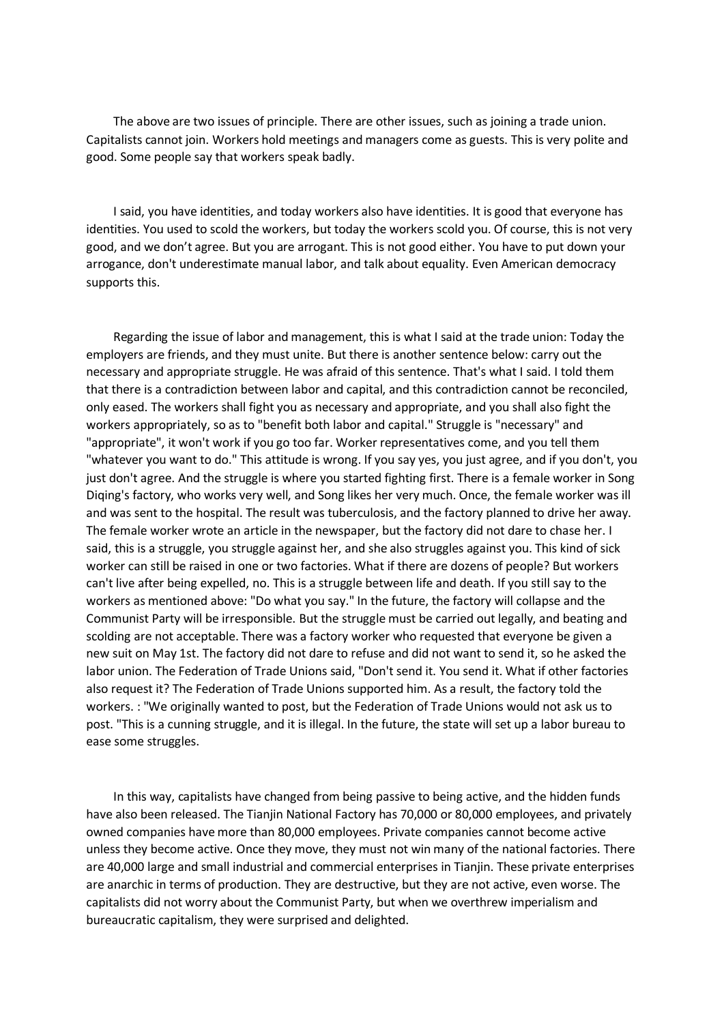The above are two issues of principle. There are other issues, such as joining a trade union. Capitalists cannot join. Workers hold meetings and managers come as guests. This is very polite and good. Some people say that workers speak badly.

 I said, you have identities, and today workers also have identities. It is good that everyone has identities. You used to scold the workers, but today the workers scold you. Of course, this is not very good, and we don't agree. But you are arrogant. This is not good either. You have to put down your arrogance, don't underestimate manual labor, and talk about equality. Even American democracy supports this.

 Regarding the issue of labor and management, this is what I said at the trade union: Today the employers are friends, and they must unite. But there is another sentence below: carry out the necessary and appropriate struggle. He was afraid of this sentence. That's what I said. I told them that there is a contradiction between labor and capital, and this contradiction cannot be reconciled, only eased. The workers shall fight you as necessary and appropriate, and you shall also fight the workers appropriately, so as to "benefit both labor and capital." Struggle is "necessary" and "appropriate", it won't work if you go too far. Worker representatives come, and you tell them "whatever you want to do." This attitude is wrong. If you say yes, you just agree, and if you don't, you just don't agree. And the struggle is where you started fighting first. There is a female worker in Song Diqing's factory, who works very well, and Song likes her very much. Once, the female worker was ill and was sent to the hospital. The result was tuberculosis, and the factory planned to drive her away. The female worker wrote an article in the newspaper, but the factory did not dare to chase her. I said, this is a struggle, you struggle against her, and she also struggles against you. This kind of sick worker can still be raised in one or two factories. What if there are dozens of people? But workers can't live after being expelled, no. This is a struggle between life and death. If you still say to the workers as mentioned above: "Do what you say." In the future, the factory will collapse and the Communist Party will be irresponsible. But the struggle must be carried out legally, and beating and scolding are not acceptable. There was a factory worker who requested that everyone be given a new suit on May 1st. The factory did not dare to refuse and did not want to send it, so he asked the labor union. The Federation of Trade Unions said, "Don't send it. You send it. What if other factories also request it? The Federation of Trade Unions supported him. As a result, the factory told the workers. : "We originally wanted to post, but the Federation of Trade Unions would not ask us to post. "This is a cunning struggle, and it is illegal. In the future, the state will set up a labor bureau to ease some struggles.

 In this way, capitalists have changed from being passive to being active, and the hidden funds have also been released. The Tianjin National Factory has 70,000 or 80,000 employees, and privately owned companies have more than 80,000 employees. Private companies cannot become active unless they become active. Once they move, they must not win many of the national factories. There are 40,000 large and small industrial and commercial enterprises in Tianjin. These private enterprises are anarchic in terms of production. They are destructive, but they are not active, even worse. The capitalists did not worry about the Communist Party, but when we overthrew imperialism and bureaucratic capitalism, they were surprised and delighted.